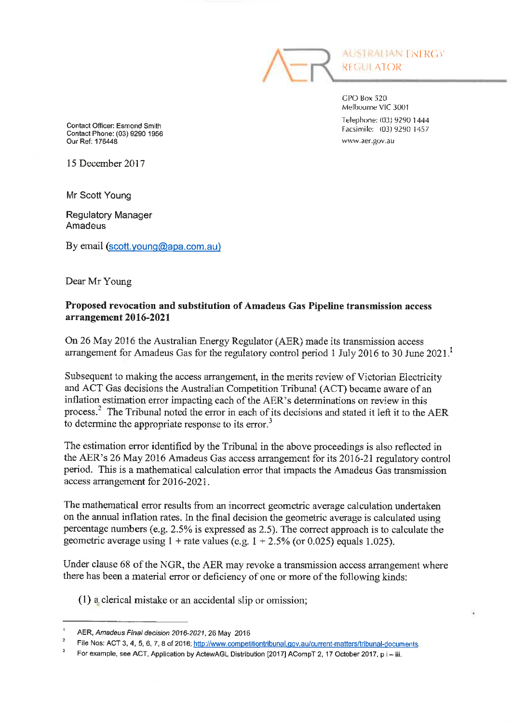

CPO Box 520 Melbourne VIC 3001 Telephone: (03) 9290 1444 Facsimile: (03) 9290 1457 www.aer.gov.au

Contact Officer: Esmond Smith Contact Phone: (03) 9290 1956 Our Ref: 176448

15 December 2017

Mr Scott Young

Regulatory Manager Amadeus

By email (scott.young@apa.com.au)

Dear Mr Young

## Proposed revocation and substitution of Amadeus Gas Pipeline transmission access arrangement 2016-2021

On 26 May 2016 the Australian Energy Regulator (AER) made its transmission access arrangement for Amadeus Gas for the regulatory control period 1 July 2016 to 30 June 2021.

Subsequent to making the access arrangement, in the merits review of Victorian Electricity and ACT Gas decisions the Australian Competition Tribunal (ACT) became aware of an inflation estimation error impacting each of the AER's determinations on review in this process.<sup>2</sup> The Tribunal noted the error in each of its decisions and stated it left it to the AER to determine the appropriate response to its error.

The estimation error identified by the Tribunal in the above proceedings is also reflected in the AER's 26 May 2016 Amadeus Gas access arrangement for its 2016-21 regulatory control period. This is a mathematical calculation error that impacts the Amadeus Gas transmission access arrangement for 2016-2021.

The mathematical error results from an incorrect geometric average calculation undertaken on the annual inflation rates. In the final decision the geometric average is calculated using percentage numbers (e.g. 2.5% is expressed as 2.5). The correct approach is to calculate the geometric average using  $1 +$  rate values (e.g.  $1 + 2.5\%$  (or 0.025) equals 1.025).

Under clause 68 of the NCR, the AER may revoke a transmission access arrangement where there has been a material error or deficiency of one or more of the following kinds:

(1) aclerical mistake or an accidental slip or omission;

AER, Amadeus Final decision 2016-2021, 26 May 2016

File Nos: ACT 3, 4, 5, 6, 7, 8 of 2016; http://www.competitiontribunal.gov.au/current-matters/tribunal-documents

For example, see ACT, Application by ActewAGL Distribution [2017] ACompT 2, 17 October 2017, p i - iii.